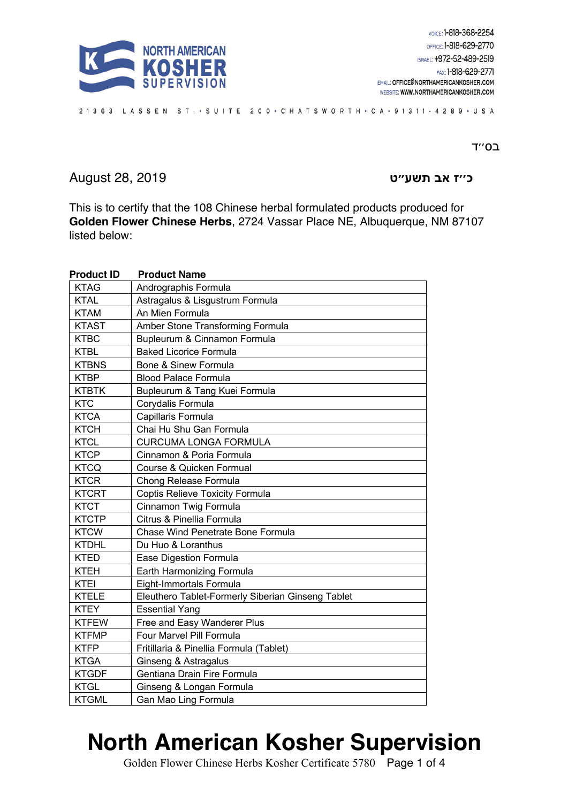

#### ב0"T

**ז׳׳כ בא ״עשת ט** 2019 28, August

This is to certify that the 108 Chinese herbal formulated products produced for **Golden Flower Chinese Herbs**, 2724 Vassar Place NE, Albuquerque, NM 87107 listed below:

| <b>Product ID</b> | <b>Product Name</b>                               |
|-------------------|---------------------------------------------------|
| <b>KTAG</b>       | Andrographis Formula                              |
| <b>KTAL</b>       | Astragalus & Lisgustrum Formula                   |
| <b>KTAM</b>       | An Mien Formula                                   |
| <b>KTAST</b>      | Amber Stone Transforming Formula                  |
| <b>KTBC</b>       | Bupleurum & Cinnamon Formula                      |
| <b>KTBL</b>       | <b>Baked Licorice Formula</b>                     |
| <b>KTBNS</b>      | Bone & Sinew Formula                              |
| <b>KTBP</b>       | <b>Blood Palace Formula</b>                       |
| <b>KTBTK</b>      | Bupleurum & Tang Kuei Formula                     |
| <b>KTC</b>        | Corydalis Formula                                 |
| <b>KTCA</b>       | Capillaris Formula                                |
| <b>KTCH</b>       | Chai Hu Shu Gan Formula                           |
| <b>KTCL</b>       | <b>CURCUMA LONGA FORMULA</b>                      |
| <b>KTCP</b>       | Cinnamon & Poria Formula                          |
| <b>KTCQ</b>       | Course & Quicken Formual                          |
| <b>KTCR</b>       | Chong Release Formula                             |
| <b>KTCRT</b>      | Coptis Relieve Toxicity Formula                   |
| <b>KTCT</b>       | Cinnamon Twig Formula                             |
| <b>KTCTP</b>      | Citrus & Pinellia Formula                         |
| <b>KTCW</b>       | Chase Wind Penetrate Bone Formula                 |
| <b>KTDHL</b>      | Du Huo & Loranthus                                |
| <b>KTED</b>       | Ease Digestion Formula                            |
| <b>KTEH</b>       | Earth Harmonizing Formula                         |
| <b>KTEI</b>       | Eight-Immortals Formula                           |
| <b>KTELE</b>      | Eleuthero Tablet-Formerly Siberian Ginseng Tablet |
| <b>KTEY</b>       | <b>Essential Yang</b>                             |
| <b>KTFEW</b>      | Free and Easy Wanderer Plus                       |
| <b>KTFMP</b>      | Four Marvel Pill Formula                          |
| <b>KTFP</b>       | Fritillaria & Pinellia Formula (Tablet)           |
| <b>KTGA</b>       | Ginseng & Astragalus                              |
| <b>KTGDF</b>      | Gentiana Drain Fire Formula                       |
| <b>KTGL</b>       | Ginseng & Longan Formula                          |
| <b>KTGML</b>      | Gan Mao Ling Formula                              |

# **North American Kosher Supervision**

Golden Flower Chinese Herbs Kosher Certificate 5780 Page 1 of 4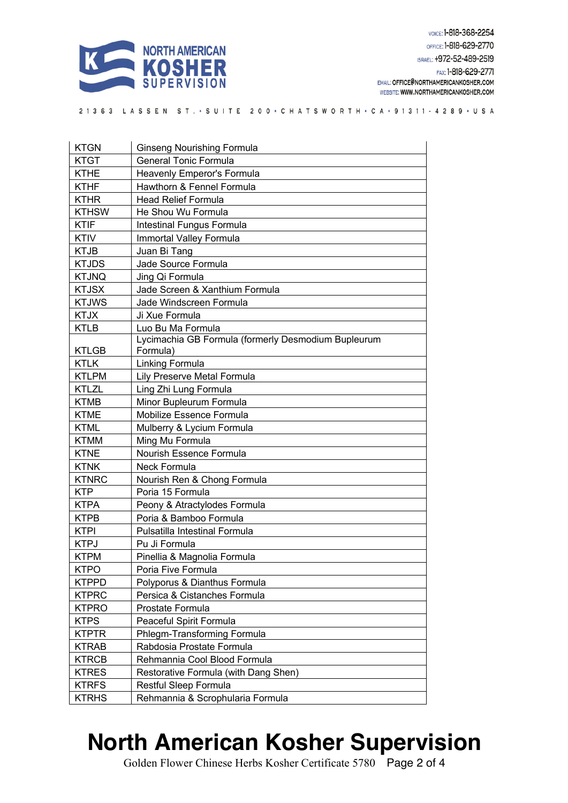

| <b>KTGN</b>  | <b>Ginseng Nourishing Formula</b>                               |
|--------------|-----------------------------------------------------------------|
| <b>KTGT</b>  | <b>General Tonic Formula</b>                                    |
| <b>KTHE</b>  | Heavenly Emperor's Formula                                      |
| <b>KTHF</b>  | Hawthorn & Fennel Formula                                       |
| <b>KTHR</b>  | <b>Head Relief Formula</b>                                      |
| <b>KTHSW</b> | He Shou Wu Formula                                              |
| <b>KTIF</b>  | Intestinal Fungus Formula                                       |
| <b>KTIV</b>  | Immortal Valley Formula                                         |
| <b>KTJB</b>  | Juan Bi Tang                                                    |
| <b>KTJDS</b> | Jade Source Formula                                             |
| <b>KTJNQ</b> | Jing Qi Formula                                                 |
| <b>KTJSX</b> | Jade Screen & Xanthium Formula                                  |
| <b>KTJWS</b> | Jade Windscreen Formula                                         |
| <b>KTJX</b>  | Ji Xue Formula                                                  |
| <b>KTLB</b>  | Luo Bu Ma Formula                                               |
| <b>KTLGB</b> | Lycimachia GB Formula (formerly Desmodium Bupleurum<br>Formula) |
| <b>KTLK</b>  | Linking Formula                                                 |
| <b>KTLPM</b> | Lily Preserve Metal Formula                                     |
| <b>KTLZL</b> | Ling Zhi Lung Formula                                           |
| <b>KTMB</b>  | Minor Bupleurum Formula                                         |
| <b>KTME</b>  | Mobilize Essence Formula                                        |
| <b>KTML</b>  | Mulberry & Lycium Formula                                       |
| <b>KTMM</b>  | Ming Mu Formula                                                 |
| <b>KTNE</b>  | Nourish Essence Formula                                         |
| <b>KTNK</b>  | <b>Neck Formula</b>                                             |
| <b>KTNRC</b> | Nourish Ren & Chong Formula                                     |
| <b>KTP</b>   | Poria 15 Formula                                                |
| <b>KTPA</b>  | Peony & Atractylodes Formula                                    |
| <b>KTPB</b>  | Poria & Bamboo Formula                                          |
| <b>KTPI</b>  | Pulsatilla Intestinal Formula                                   |
| <b>KTPJ</b>  | Pu Ji Formula                                                   |
| <b>KTPM</b>  | Pinellia & Magnolia Formula                                     |
| <b>KTPO</b>  | Poria Five Formula                                              |
| <b>KTPPD</b> | Polyporus & Dianthus Formula                                    |
| <b>KTPRC</b> | Persica & Cistanches Formula                                    |
| <b>KTPRO</b> | Prostate Formula                                                |
| <b>KTPS</b>  | Peaceful Spirit Formula                                         |
| <b>KTPTR</b> | Phlegm-Transforming Formula                                     |
| <b>KTRAB</b> | Rabdosia Prostate Formula                                       |
| <b>KTRCB</b> | Rehmannia Cool Blood Formula                                    |
| <b>KTRES</b> | Restorative Formula (with Dang Shen)                            |
| <b>KTRFS</b> | Restful Sleep Formula                                           |
| <b>KTRHS</b> | Rehmannia & Scrophularia Formula                                |

# **North American Kosher Supervision**

Golden Flower Chinese Herbs Kosher Certificate 5780 Page 2 of 4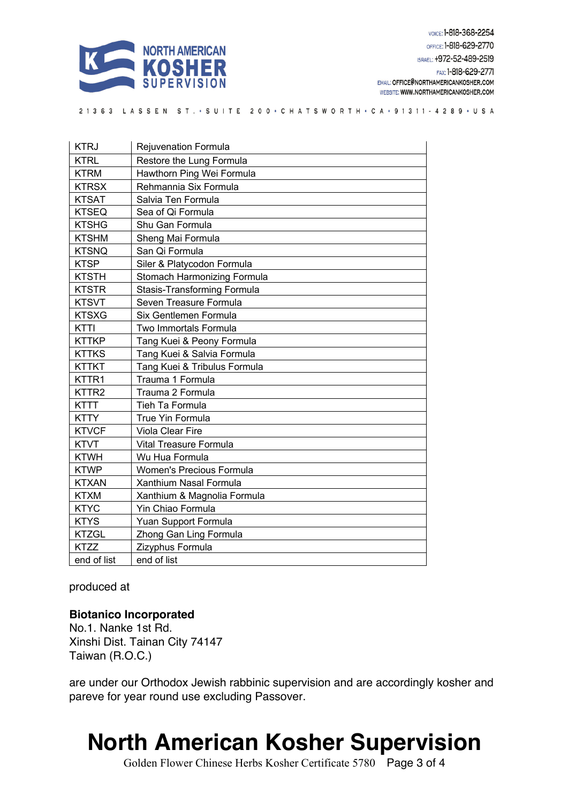

| <b>KTRJ</b>       | Rejuvenation Formula          |
|-------------------|-------------------------------|
| <b>KTRL</b>       | Restore the Lung Formula      |
| <b>KTRM</b>       | Hawthorn Ping Wei Formula     |
| <b>KTRSX</b>      | Rehmannia Six Formula         |
| <b>KTSAT</b>      | Salvia Ten Formula            |
| <b>KTSEQ</b>      | Sea of Qi Formula             |
| <b>KTSHG</b>      | Shu Gan Formula               |
| <b>KTSHM</b>      | Sheng Mai Formula             |
| <b>KTSNQ</b>      | San Qi Formula                |
| <b>KTSP</b>       | Siler & Platycodon Formula    |
| <b>KTSTH</b>      | Stomach Harmonizing Formula   |
| <b>KTSTR</b>      | Stasis-Transforming Formula   |
| <b>KTSVT</b>      | Seven Treasure Formula        |
| <b>KTSXG</b>      | Six Gentlemen Formula         |
| KTTI              | Two Immortals Formula         |
| <b>KTTKP</b>      | Tang Kuei & Peony Formula     |
| <b>KTTKS</b>      | Tang Kuei & Salvia Formula    |
| <b>KTTKT</b>      | Tang Kuei & Tribulus Formula  |
| KTTR1             | Trauma 1 Formula              |
| KTTR <sub>2</sub> | Trauma 2 Formula              |
| <b>KTTT</b>       | Tieh Ta Formula               |
| <b>KTTY</b>       | <b>True Yin Formula</b>       |
| <b>KTVCF</b>      | Viola Clear Fire              |
| <b>KTVT</b>       | <b>Vital Treasure Formula</b> |
| <b>KTWH</b>       | Wu Hua Formula                |
| <b>KTWP</b>       | Women's Precious Formula      |
| <b>KTXAN</b>      | Xanthium Nasal Formula        |
| <b>KTXM</b>       | Xanthium & Magnolia Formula   |
| <b>KTYC</b>       | Yin Chiao Formula             |
| <b>KTYS</b>       | Yuan Support Formula          |
| <b>KTZGL</b>      | Zhong Gan Ling Formula        |
| <b>KTZZ</b>       | Zizyphus Formula              |
| end of list       | end of list                   |

produced at

#### **Biotanico Incorporated**

No.1. Nanke 1st Rd. Xinshi Dist. Tainan City 74147 Taiwan (R.O.C.)

are under our Orthodox Jewish rabbinic supervision and are accordingly kosher and pareve for year round use excluding Passover.

### **North American Kosher Supervision**

Golden Flower Chinese Herbs Kosher Certificate 5780 Page 3 of 4